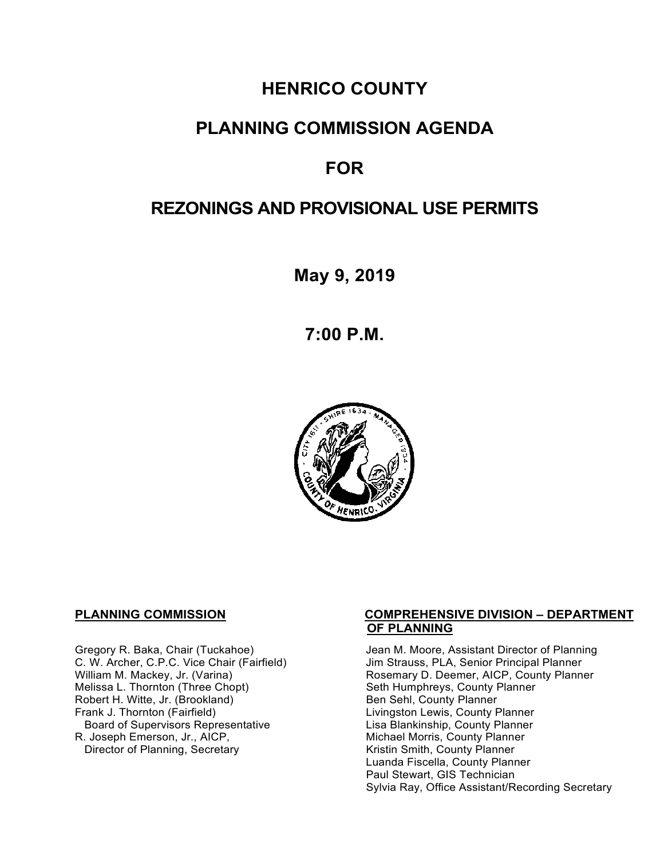# **HENRICO COUNTY**

## **PLANNING COMMISSION AGENDA**

# **FOR**

# **REZONINGS AND PROVISIONAL USE PERMITS**

**May 9, 2019**

**7:00 P.M.**



Melissa L. Thornton (Three Chopt) Seth Humphreys, County F<br>
Robert H. Witte, Jr. (Brookland) Seth Sehl, County Planner Robert H. Witte, Jr. (Brookland)<br>Frank J. Thornton (Fairfield) Board of Supervisors Representative<br>R. Joseph Emerson, Jr., AICP, Director of Planning, Secretary

### **PLANNING COMMISSION COMPREHENSIVE DIVISION – DEPARTMENT OF PLANNING**

Gregory R. Baka, Chair (Tuckahoe) Jean M. Moore, Assistant Director of Planning<br>C. W. Archer, C.P.C. Vice Chair (Fairfield) Jim Strauss, PLA, Senior Principal Planner C. W. Archer, C.P.C. Vice Chair (Fairfield) Jim Strauss, PLA, Senior Principal Planner<br>William M. Mackey, Jr. (Varina) Sand Chair Cosemary D. Deemer, AICP, County Planner Rosemary D. Deemer, AICP, County Planner<br>Seth Humphreys, County Planner Livingston Lewis, County Planner<br>Lisa Blankinship, County Planner Michael Morris, County Planner<br>Kristin Smith, County Planner Luanda Fiscella, County Planner Paul Stewart, GIS Technician Sylvia Ray, Office Assistant/Recording Secretary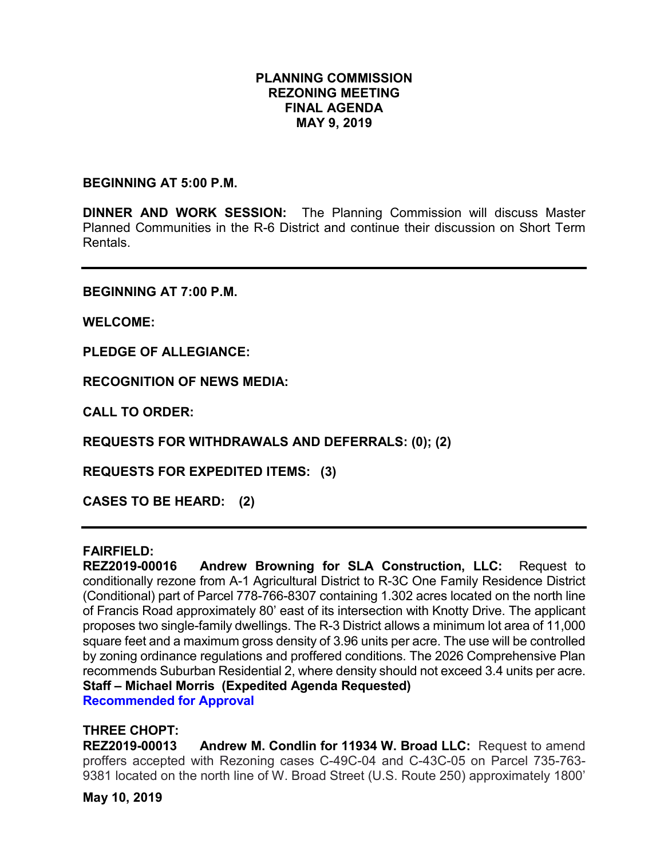### **PLANNING COMMISSION REZONING MEETING FINAL AGENDA MAY 9, 2019**

**BEGINNING AT 5:00 P.M.** 

**DINNER AND WORK SESSION:** The Planning Commission will discuss Master Planned Communities in the R-6 District and continue their discussion on Short Term Rentals.

**BEGINNING AT 7:00 P.M.**

**WELCOME:**

**PLEDGE OF ALLEGIANCE:**

**RECOGNITION OF NEWS MEDIA:**

**CALL TO ORDER:**

**REQUESTS FOR WITHDRAWALS AND DEFERRALS: (0); (2)**

**REQUESTS FOR EXPEDITED ITEMS: (3)**

**CASES TO BE HEARD: (2)**

### **FAIRFIELD:**

**REZ2019-00016 Andrew Browning for SLA Construction, LLC:** Request to conditionally rezone from A-1 Agricultural District to R-3C One Family Residence District (Conditional) part of Parcel 778-766-8307 containing 1.302 acres located on the north line of Francis Road approximately 80' east of its intersection with Knotty Drive. The applicant proposes two single-family dwellings. The R-3 District allows a minimum lot area of 11,000 square feet and a maximum gross density of 3.96 units per acre. The use will be controlled by zoning ordinance regulations and proffered conditions. The 2026 Comprehensive Plan recommends Suburban Residential 2, where density should not exceed 3.4 units per acre. **Staff – Michael Morris (Expedited Agenda Requested) Recommended for Approval**

# **THREE CHOPT:**

Andrew M. Condlin for 11934 W. Broad LLC: Request to amend proffers accepted with Rezoning cases C-49C-04 and C-43C-05 on Parcel 735-763- 9381 located on the north line of W. Broad Street (U.S. Route 250) approximately 1800'

**May 10, 2019**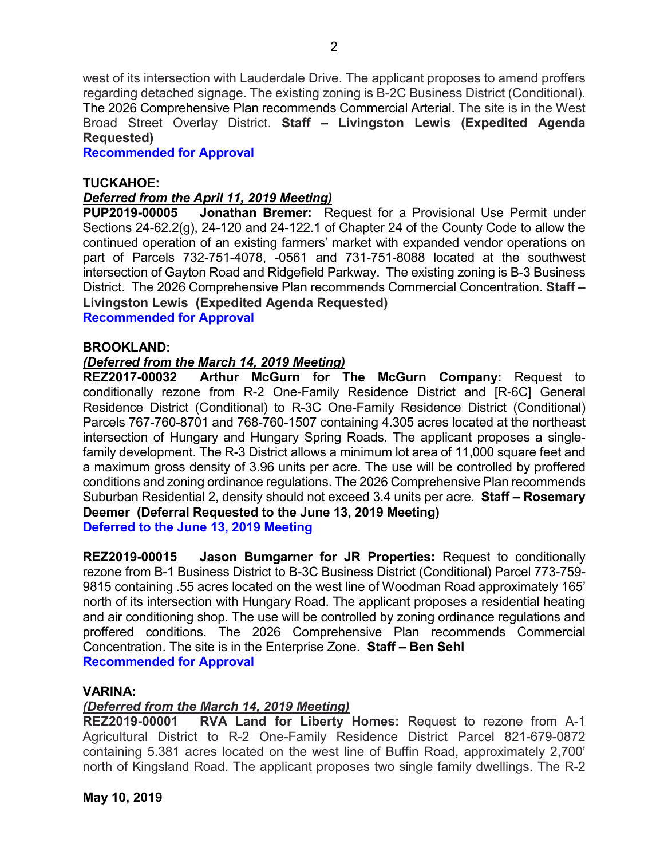west of its intersection with Lauderdale Drive. The applicant proposes to amend proffers regarding detached signage. The existing zoning is B-2C Business District (Conditional). The 2026 Comprehensive Plan recommends Commercial Arterial. The site is in the West Broad Street Overlay District. **Staff – Livingston Lewis (Expedited Agenda Requested)**

**Recommended for Approval**

### **TUCKAHOE:**

### *Deferred from the April 11, 2019 Meeting)*

**PUP2019-00005 Jonathan Bremer:** Request for a Provisional Use Permit under Sections 24-62.2(g), 24-120 and 24-122.1 of Chapter 24 of the County Code to allow the continued operation of an existing farmers' market with expanded vendor operations on part of Parcels 732-751-4078, -0561 and 731-751-8088 located at the southwest intersection of Gayton Road and Ridgefield Parkway. The existing zoning is B-3 Business District. The 2026 Comprehensive Plan recommends Commercial Concentration. **Staff – Livingston Lewis (Expedited Agenda Requested)**

**Recommended for Approval**

### **BROOKLAND:**

### *(Deferred from the March 14, 2019 Meeting)*

**REZ2017-00032 Arthur McGurn for The McGurn Company:** Request to conditionally rezone from R-2 One-Family Residence District and [R-6C] General Residence District (Conditional) to R-3C One-Family Residence District (Conditional) Parcels 767-760-8701 and 768-760-1507 containing 4.305 acres located at the northeast intersection of Hungary and Hungary Spring Roads. The applicant proposes a singlefamily development. The R-3 District allows a minimum lot area of 11,000 square feet and a maximum gross density of 3.96 units per acre. The use will be controlled by proffered conditions and zoning ordinance regulations. The 2026 Comprehensive Plan recommends Suburban Residential 2, density should not exceed 3.4 units per acre. **Staff – Rosemary Deemer (Deferral Requested to the June 13, 2019 Meeting) Deferred to the June 13, 2019 Meeting**

**REZ2019-00015 Jason Bumgarner for JR Properties:** Request to conditionally rezone from B-1 Business District to B-3C Business District (Conditional) Parcel 773-759- 9815 containing .55 acres located on the west line of Woodman Road approximately 165' north of its intersection with Hungary Road. The applicant proposes a residential heating and air conditioning shop. The use will be controlled by zoning ordinance regulations and proffered conditions. The 2026 Comprehensive Plan recommends Commercial Concentration. The site is in the Enterprise Zone. **Staff – Ben Sehl Recommended for Approval**

### **VARINA:**

### *(Deferred from the March 14, 2019 Meeting)*

**REZ2019-00001 RVA Land for Liberty Homes:** Request to rezone from A-1 Agricultural District to R-2 One-Family Residence District Parcel 821-679-0872 containing 5.381 acres located on the west line of Buffin Road, approximately 2,700' north of Kingsland Road. The applicant proposes two single family dwellings. The R-2